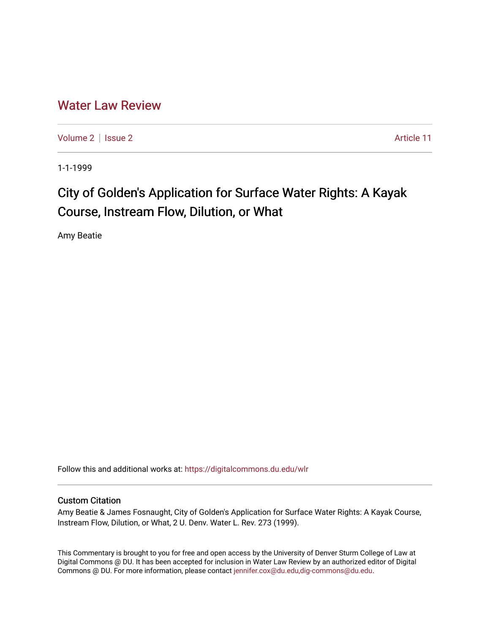## [Water Law Review](https://digitalcommons.du.edu/wlr)

[Volume 2](https://digitalcommons.du.edu/wlr/vol2) | [Issue 2](https://digitalcommons.du.edu/wlr/vol2/iss2) Article 11

1-1-1999

# City of Golden's Application for Surface Water Rights: A Kayak Course, Instream Flow, Dilution, or What

Amy Beatie

Follow this and additional works at: [https://digitalcommons.du.edu/wlr](https://digitalcommons.du.edu/wlr?utm_source=digitalcommons.du.edu%2Fwlr%2Fvol2%2Fiss2%2F11&utm_medium=PDF&utm_campaign=PDFCoverPages) 

#### Custom Citation

Amy Beatie & James Fosnaught, City of Golden's Application for Surface Water Rights: A Kayak Course, Instream Flow, Dilution, or What, 2 U. Denv. Water L. Rev. 273 (1999).

This Commentary is brought to you for free and open access by the University of Denver Sturm College of Law at Digital Commons @ DU. It has been accepted for inclusion in Water Law Review by an authorized editor of Digital Commons @ DU. For more information, please contact [jennifer.cox@du.edu,dig-commons@du.edu.](mailto:jennifer.cox@du.edu,dig-commons@du.edu)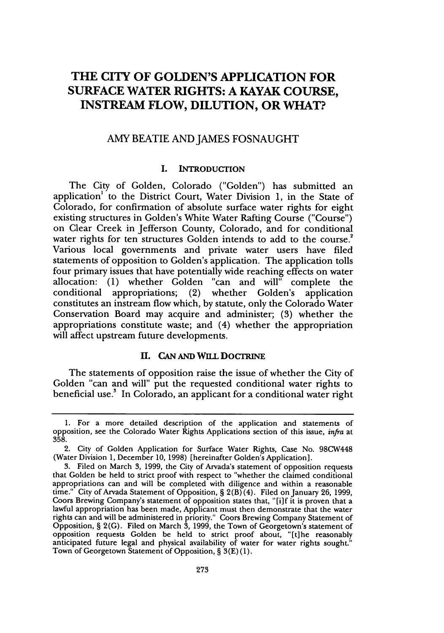### **THE CITY OF GOLDEN'S APPLICATION FOR SURFACE WATER RIGHTS: A KAYAK COURSE, INSTREAM FLOW, DILUTION, OR WHAT?**

#### AMY BEATIE AND JAMES FOSNAUGHT

#### **1.** INTRODUCTION

The City of Golden, Colorado ("Golden") has submitted an application<sup>1</sup> to the District Court, Water Division 1, in the State of Colorado, for confirmation of absolute surface water rights for eight existing structures in Golden's White Water Rafting Course ("Course") on Clear Creek in Jefferson County, Colorado, and for conditional water rights for ten structures Golden intends to add to the course.<sup>2</sup> Various local governments and private water users have filed statements of opposition to Golden's application. The application tolls four primary issues that have potentially wide reaching effects on water allocation: (1) whether Golden "can and will" complete the conditional appropriations; (2) whether Golden's application constitutes an instream flow which, by statute, only the Colorado Water Conservation Board may acquire and administer; (3) whether the appropriations constitute waste; and (4) whether the appropriation will affect upstream future developments.

#### **II. CAN AND WILL DOCTRINE**

The statements of opposition raise the issue of whether the City of Golden "can and will" put the requested conditional water rights to beneficial use.' In Colorado, an applicant for a conditional water right

<sup>1.</sup> For a more detailed description of the application and statements of opposition, see the Colorado Water Rights Applications section of this issue, *infra* at 358.

<sup>2.</sup> City of Golden Application for Surface Water Rights, Case No. 98CW448 (Water Division 1, December 10, 1998) (hereinafter Golden's Application].

<sup>3.</sup> Filed on March 3, 1999, the City of Arvada's statement of opposition requests that Golden be held to strict proof with respect to "whether the claimed conditional appropriations can and will be completed with diligence and within a reasonable time." City of Arvada Statement of Opposition, **§** 2(B) (4). Filed on January 26, 1999, Coors Brewing Company's statement of opposition states that, "[i]f it is proven that a lawful appropriation has been made, Applicant must then demonstrate that the water rights can and will be administered in priority." Coors Brewing Company Statement of Opposition, § 2(G). Filed on March 3, 1999, the Town of Georgetown's statement of opposition requests Golden be held to strict proof about, "[tihe reasonably anticipated future legal and physical availability of water for water rights sought." Town of Georgetown Statement of Opposition, **§** 3(E)(1).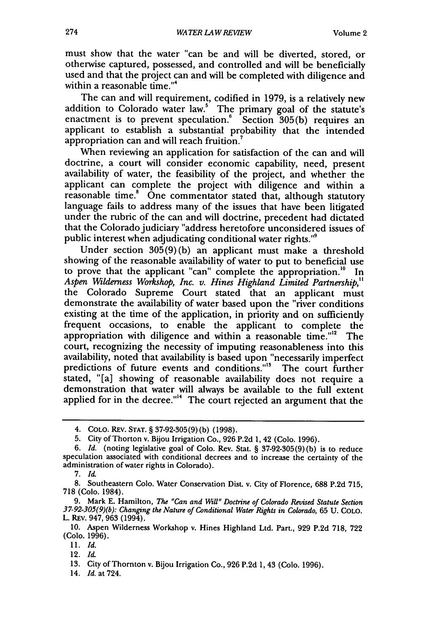must show that the water "can be and will be diverted, stored, or otherwise captured, possessed, and controlled and will be beneficially used and that the project can and will be completed with diligence and within a reasonable time."<sup>4</sup>

The can and will requirement, codified in 1979, is a relatively new addition to Colorado water law.' The primary goal of the statute's enactment is to prevent speculation.<sup>6</sup> Section 305(b) requires an applicant to establish a substantial probability that the intended appropriation can and will reach fruition.<sup>7</sup>

When reviewing an application for satisfaction of the can and will doctrine, a court will consider economic capability, need, present availability of water, the feasibility of the project, and whether the applicant can complete the project with diligence and within a reasonable time.' One commentator stated that, although statutory language fails to address many of the issues that have been litigated under the rubric of the can and will doctrine, precedent had dictated that the Colorado judiciary "address heretofore unconsidered issues of public interest when adjudicating conditional water rights."9

Under section 305(9) (b) an applicant must make a threshold showing of the reasonable availability of water to put to beneficial use to prove that the applicant "can" complete the appropriation. $^{10}$  In *Aspen Wilderness Workshop, Inc. v. Hines Highland Limited Partnership,"* the Colorado Supreme Court stated that an applicant must demonstrate the availability of water based upon the "river conditions existing at the time of the application, in priority and on sufficiently frequent occasions, to enable the applicant to complete the appropriation with diligence and within a reasonable time."<sup>12</sup> The court, recognizing the necessity of imputing reasonableness into this availability, noted that availability is based upon "necessarily imperfect predictions of future events and conditions."<sup>3</sup> The court further stated, "[a] showing of reasonable availability does not require a demonstration that water will always be available to the full extent applied for in the decree."<sup> $4$ </sup> The court rejected an argument that the

13. City of Thornton v. Bijou Irrigation Co., 926 P.2d 1, 43 (Colo. 1996).

14. *Id.* at 724.

<sup>4.</sup> **COLO.** REv. **STAT.** § 37-92-305(9)(b) (1998).

<sup>5.</sup> City of Thorton v. Bijou Irrigation Co., 926 P.2d 1, 42 (Colo. 1996).

<sup>6.</sup> *Id.* (noting legislative goal of Colo. Rev. Stat. § 37-92-305(9) (b) is to reduce speculation associated with conditional decrees and to increase the certainty of the administration of water rights in Colorado).

<sup>7.</sup> *Id.*

<sup>8.</sup> Southeastern Colo. Water Conservation Dist. v. City of Florence, 688 P.2d 715, 718 (Colo. 1984).

<sup>9.</sup> Mark E. Hamilton, *The "Can and Will" Doctrine of Colorado Revised Statute Section 37-92-305(9)(b): Changing the Nature of Conditional Water Rights in Colorado,* 65 U. COLO. L. REV. 947, 963 (1994).

<sup>10.</sup> Aspen Wilderness Workshop v. Hines Highland Ltd. Part., 929 P.2d 718, 722 (Colo. 1996).

<sup>11.</sup> *Id.*

<sup>12.</sup> *Id.*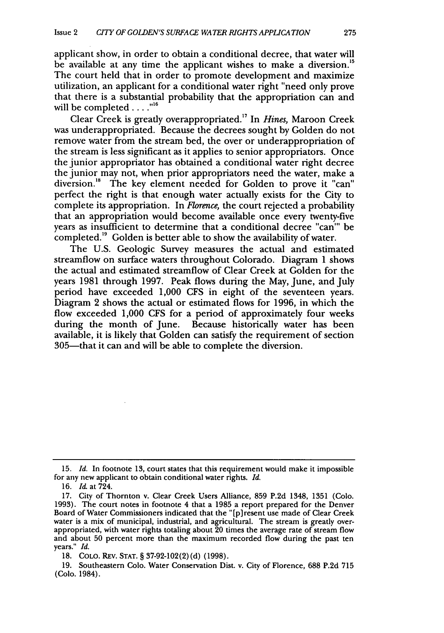applicant show, in order to obtain a conditional decree, that water will be available at any time the applicant wishes to make a diversion.<sup>15</sup> The court held that in order to promote development and maximize utilization, an applicant for a conditional water right "need only prove that there is a substantial probability that the appropriation can and will be completed . . . . "<sup>16</sup>

Clear Creek is greatly overappropriated.17 In *Hines,* Maroon Creek was underappropriated. Because the decrees sought by Golden do not remove water from the stream bed, the over or underappropriation of the stream is less significant as it applies to senior appropriators. Once the junior appropriator has obtained a conditional water right decree the junior may not, when prior appropriators need the water, make a diversion.<sup>18</sup> The key element needed for Golden to prove it "can" perfect the right is that enough water actually exists for the City to complete its appropriation. In *Florence,* the court rejected a probability that an appropriation would become available once every twenty-five years as insufficient to determine that a conditional decree "can"' be completed.<sup>19</sup> Golden is better able to show the availability of water.

The U.S. Geologic Survey measures the actual and estimated streamflow on surface waters throughout Colorado. Diagram 1 shows the actual and estimated streamflow of Clear Creek at Golden for the years 1981 through 1997. Peak flows during the May, June, and July period have exceeded 1,000 CFS in eight of the seventeen years. Diagram 2 shows the actual or estimated flows for 1996, in which the flow exceeded 1,000 CFS for a period of approximately four weeks during the month of June. Because historically water has been available, it is likely that Golden can satisfy the requirement of section 305-that it can and will be able to complete the diversion.

**<sup>15.</sup>** *Id.* In footnote **13,** court states that this requirement would make it impossible for any new applicant to obtain conditional water rights. *Id.*

**<sup>16.</sup> Id** at 724.

<sup>17.</sup> City of Thornton v. Clear Creek Users Alliance, 859 P.2d 1348, 1351 (Colo. 1993). The court notes in footnote 4 that a 1985 a report prepared for the Denver Board of Water Commissioners indicated that the **"[p]** resent use made of Clear Creek water is a mix of municipal, industrial, and agricultural. The stream is greatly over-<br>appropriated, with water rights totaling about 20 times the average rate of stream flow and about 50 percent more than the maximum recorded flow during the past ten years." *Id.*

<sup>18.</sup> CoLo. REv. **STAT.** § 37-92-102(2)(d) (1998).

<sup>19.</sup> Southeastern Colo. Water Conservation Dist. v. City of Florence, **688** P.2d **715** (Colo. 1984).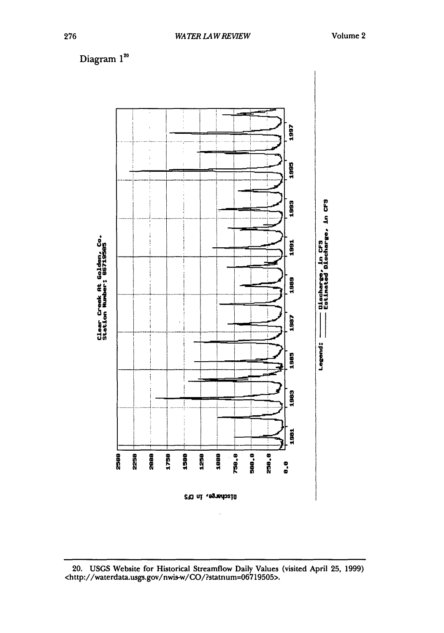

20. USGS Website for Historical Streamflow Daily Values (visited April 25, 1999) <http://waterdata.usgs.gov/nwis-w/CO/?statnum=06719505>.

Diagram 120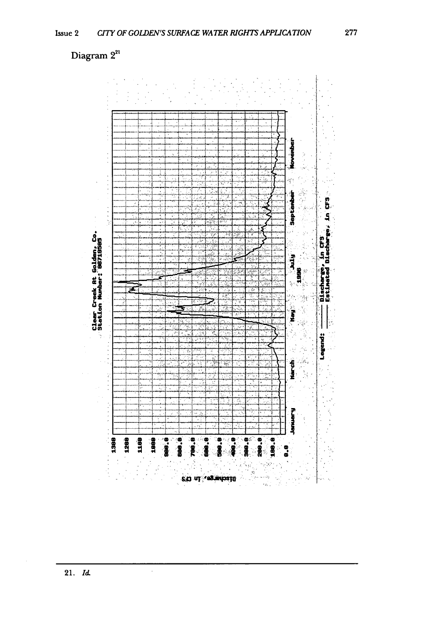# Diagram 2<sup>21</sup>



 $\hat{\boldsymbol{\beta}}$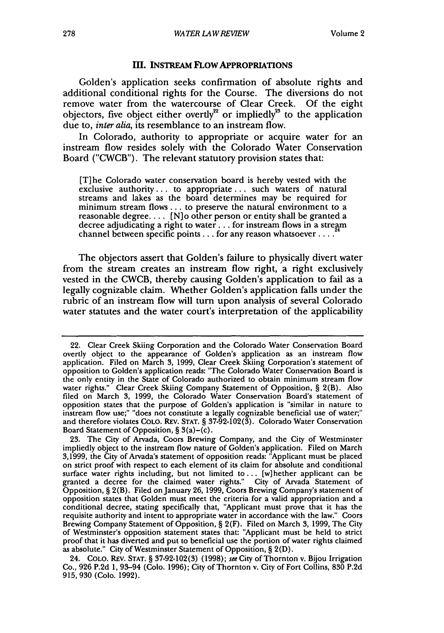#### **III. INSTREAM FLOW APPROPRIATIONS**

Golden's application seeks confirmation of absolute rights and additional conditional rights for the Course. The diversions do not remove water from the watercourse of Clear Creek. Of the eight objectors, five object either overtly<sup>22</sup> or impliedly<sup>23</sup> to the application due to, *inter alia,* its resemblance to an instream flow.

In Colorado, authority to appropriate or acquire water for an instream flow resides solely with the Colorado Water Conservation Board ("CWCB"). The relevant statutory provision states that:

[T] he Colorado water conservation board is hereby vested with the exclusive authority... to appropriate... such waters of natural streams and lakes as the board determines may be required for minimum stream flows.., to preserve the natural environment to a reasonable degree.... [N]o other person or entity shall be granted a decree adjudicating a right to water.., for instream flows in a stream channel between specific points.., for any reason whatsoever **.... 24**

The objectors assert that Golden's failure to physically divert water from the stream creates an instream flow right, a right exclusively vested in the CWCB, thereby causing Golden's application to fail as a legally cognizable claim. Whether Golden's application falls under the rubric of an instream flow will turn upon analysis of several Colorado water statutes and the water court's interpretation of the applicability

<sup>22.</sup> Clear Creek Skiing Corporation and the Colorado Water Conservation Board overtly object to the appearance of Golden's application as an instream flow application. Filed on March 3, 1999, Clear Creek Skiing Corporation's statement of opposition to Golden's application reads: "The Colorado Water Conservation Board is the only entity in the State of Colorado authorized to obtain minimum stream flow water rights." Clear Creek Skiing Company Statement of Opposition, § 2(B). Also filed on March 3, 1999, the Colorado Water Conservation Board's statement of opposition states that the purpose of Golden's application is "similar in nature to instream flow use;" "does not constitute a legally cognizable beneficial use of water;" and therefore violates COLO. REv. STAT. § 37-92-102(3). Colorado Water Conservation Board Statement of Opposition, § 3(a)-(c).

<sup>23.</sup> The City of Arvada, Coors Brewing Company, and the City of Westminster impliedly object to the instream flow nature of Golden's application. Filed on March 3,1999, the City of Arvada's statement of opposition reads: "Applicant must be placed on strict proof with respect to each element of its claim for absolute and conditional surface water rights including, but not limited to... [w]hether applicant can be granted a decree for the claimed water rights." City of Arvada Statement of Opposition, § 2(B). Filed on January 26, 1999, Coors Brewing Company's statement of opposition states that Golden must meet the criteria for a valid appropriation and a conditional decree, stating specifically that, "Applicant must prove that it has the requisite authority and intent to appropriate water in accordance with the law." Coors Brewing Company Statement of Opposition, § 2(F). Filed on March 3, 1999, The City of Westminster's opposition statement states that: "Applicant must be held to strict proof that it has diverted and put to beneficial use the portion of water rights claimed as absolute." City of Westminster Statement of Opposition, § **2(D).**

<sup>24.</sup> COLO. REv. STAT. § 37-92-102(3) (1998); see City of Thornton v. Bijou Irrigation Co., 926 P.2d 1, 93-94 (Colo. 1996); City of Thornton v. City of Fort Collins, 830 P.2d 915, 930 (Colo. 1992).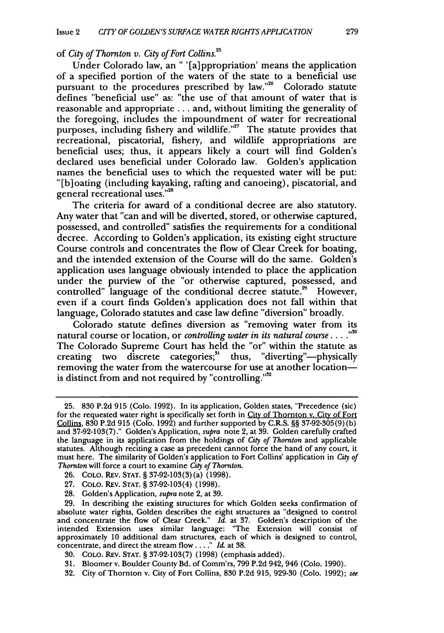of *City of Thornton v. City of Fort Collins.25*

Under Colorado law, an " '[a]ppropriation' means the application of a specified portion of the waters of the state to a beneficial use pursuant to the procedures prescribed by law."<sup>26</sup> Colorado statute defines "beneficial use" as: "the use of that amount of water that is reasonable and appropriate... and, without limiting the generality of the foregoing, includes the impoundment of water for recreational purposes, including fishery and wildlife."<sup>27</sup> The statute provides that recreational, piscatorial, fishery, and wildlife appropriations are beneficial uses; thus, it appears likely a court will find Golden's declared uses beneficial under Colorado law. Golden's application names the beneficial uses to which the requested water will be put: "[b] oating (including kayaking, rafting and canoeing), piscatorial, and general recreational uses."<sup>28</sup>

The criteria for award of a conditional decree are also statutory. Any water that "can and will be diverted, stored, or otherwise captured, possessed, and controlled" satisfies the requirements for a conditional decree. According to Golden's application, its existing eight structure Course controls and concentrates the flow of Clear Creek for boating, and the intended extension of the Course will do the same. Golden's application uses language obviously intended to place the application under the purview of the "or otherwise captured, possessed, and controlled" language of the conditional decree statute.<sup>29</sup> However, even if a court finds Golden's application does not fall within that language, Colorado statutes and case law define "diversion" broadly.

Colorado statute defines diversion as "removing water from its natural course or location, or *controlling water in its natural course. .... "* The Colorado Supreme Court has held the "or" within the statute as creating two discrete categories;<sup>31</sup> thus, "diverting"—physically removing the water from the watercourse for use at another locationis distinct from and not required by "controlling." $32$ 

- 27. COLO. REv. STAT. § 37-92-103(4) (1998).
- 28. Golden's Application, *supra* note 2, at 39.

29. In describing the existing structures for which Golden seeks confirmation of absolute water rights, Golden describes the eight structures as "designed to control and concentrate the flow of Clear Creek." *Id.* at 37. Golden's description of the intended Extension uses similar language: "The Extension will consist of approximately 10 additional dam structures, each of which is designed to control, concentrate, and direct the stream flow **... ."** Id at 38.

- 31. Bloomer v. Boulder County Bd. of Comm'rs, 799 P.2d 942, 946 (Colo. 1990).
- 32. City of Thornton v. City of Fort Collins, 830 P.2d 915, 929-30 (Colo. 1992); *see*

<sup>25. 830</sup> P.2d 915 (Colo. 1992). In its application, Golden states, "Precedence (sic) for the requested water right is specifically set forth in City of Thornton v. City of Fort Collins, 830 P.2d 915 (Colo. 1992) and further supported by C.R.S.  $\S$ § 37-92-305(9)(b) and 37-92-103(7)." Golden's Application, *supra* note 2, at 39. Golden carefully crafted the language in its application from the holdings of *City* of *Thornton* and applicable statutes. Although reciting a case as precedent cannot force the hand of any court, it must here. The similarity of Golden's application to Fort Collins' application in *City of Thornton* will force a court to examine *City of Thornton.*

<sup>26.</sup> COLO. REV. STAT. § 37-92-103(3) (a) (1998).

<sup>30.</sup> COLO. REV. **STAT.** § 37-92-103(7) (1998) (emphasis added).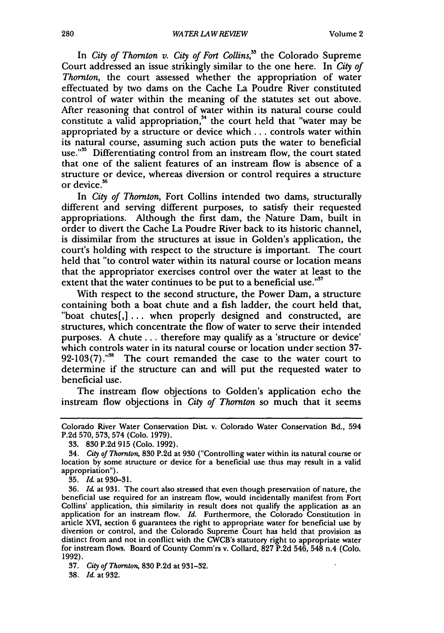In *City of Thornton v. City of Fort Collins*,<sup>35</sup> the Colorado Supreme Court addressed an issue strikingly similar to the one here. In *City of Thornton,* the court assessed whether the appropriation of water effectuated by two dams on the Cache La Poudre River constituted control of water within the meaning of the statutes set out above. After reasoning that control of water within its natural course could constitute a valid appropriation,<sup>34</sup> the court held that "water may be appropriated by a structure or device which  $\ldots$  controls water within its natural course, assuming such action puts the water to beneficial use."<sup>55</sup> Differentiating control from an instream flow, the court stated that one of the salient features of an instream flow is absence of a structure or device, whereas diversion or control requires a structure or device.<sup>56</sup>

In *City of Thornton,* Fort Collins intended two dams, structurally different and serving different purposes, to satisfy their requested appropriations. Although the first dam, the Nature Dam, built in order to divert the Cache La Poudre River back to its historic channel, is dissimilar from the structures at issue in Golden's application, the court's holding with respect to the structure is important. The court held that "to control water within its natural course or location means that the appropriator exercises control over the water at least to the extent that the water continues to be put to a beneficial use."<sup>37</sup>

With respect to the second structure, the Power Dam, a structure containing both a boat chute and a fish ladder, the court held that, "boat chutes[,] **...** when properly designed and constructed, are structures, which concentrate the flow of water to serve their intended purposes. A chute ... therefore may qualify as a 'structure or device' which controls water in its natural course or location under section **37-**  $92-103(7)$ ."<sup>38</sup> The court remanded the case to the water court to determine if the structure can and will put the requested water to beneficial use.

The instream flow objections to Golden's application echo the instream flow objections in *City of Thornton* so much that it seems

**38.** Id. at **932.**

Colorado River Water Conservation Dist. v. Colorado Water Conservation Bd., 594 P.2d 570, 573, 574 (Colo. 1979).

**<sup>33. 830</sup>** P.2d **915** (Colo. **1992).**

<sup>34.</sup> *City of Thornton,* **830 P.2d** at **930** ("Controlling water within its natural course or location by some structure or device for a beneficial use thus may result in a valid appropriation").

**<sup>35.</sup>** *Id.* at **930-31.**

**<sup>36.</sup>** *Id.* at **931.** The court also stressed that even though preservation of nature, the beneficial use required for an instream flow, would incidentally manifest from Fort Collins' application, this similarity in result does not qualify the application as an application for an instream flow. *Id.* Furthermore, the Colorado Constitution in article XVI, section **6** guarantees the right to appropriate water for beneficial use **by** diversion or control, and the Colorado Supreme Court has held that provision as distinct from and not in conflict with the CWCB's statutory right to appropriate water for instream flows. Board of County Comm'rs v. Collard, **827 P.2d** 546, 548 n.4 **(Colo. 1992).**

**<sup>37.</sup>** *City of Thornton,* **830 P.2d** at **931-32.**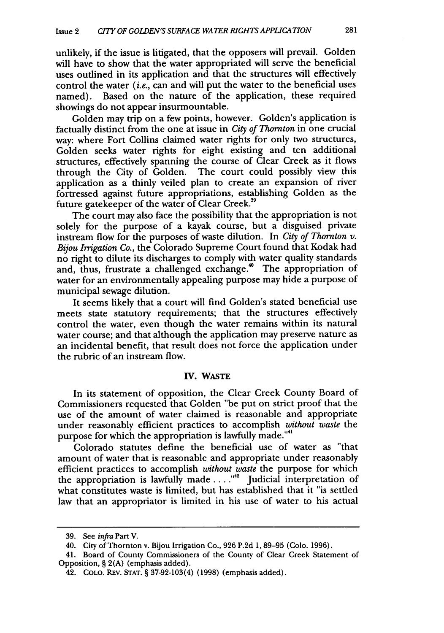unlikely, if the issue is litigated, that the opposers will prevail. Golden will have to show that the water appropriated will serve the beneficial uses outlined in its application and that the structures will effectively control the water *(i.e.,* can and will put the water to the beneficial uses named). Based on the nature of the application, these required showings do not appear insurmountable.

Golden may trip on a few points, however. Golden's application is factually distinct from the one at issue in *City of Thornton* in one crucial way: where Fort Collins claimed water rights for only two structures, Golden seeks water rights for eight existing and ten additional structures, effectively spanning the course of Clear Creek as it flows through the City of Golden. The court could possibly view this application as a thinly veiled plan to create an expansion of river fortressed against future appropriations, establishing Golden as the future gatekeeper of the water of Clear Creek.<sup>39</sup>

The court may also face the possibility that the appropriation is not solely for the purpose of a kayak course, but a disguised private instream flow for the purposes of waste dilution. In *City of Thornton v.* Bijou *Irrigation Co.,* the Colorado Supreme Court found that Kodak had no right to dilute its discharges to comply with water quality standards and, thus, frustrate a challenged exchange."0 The appropriation of water for an environmentally appealing purpose may hide a purpose of municipal sewage dilution.

It seems likely that a court will find Golden's stated beneficial use meets state statutory requirements; that the structures effectively control the water, even though the water remains within its natural water course; and that although the application may preserve nature as an incidental benefit, that result does not force the application under the rubric of an instream flow.

#### IV. WASTE

In its statement of opposition, the Clear Creek County Board of Commissioners requested that Golden "be put on strict proof that the use of the amount of water claimed is reasonable and appropriate under reasonably efficient practices to accomplish *without waste* the purpose for which the appropriation is lawfully made."<sup>41</sup>

Colorado statutes define the beneficial use of water as "that amount of water that is reasonable and appropriate under reasonably efficient practices to accomplish *without waste* the purpose for which the appropriation is lawfully made.... **., <sup>2</sup>**Judicial interpretation of what constitutes waste is limited, but has established that it "is settled law that an appropriator is limited in his use of water to his actual

**<sup>39.</sup>** See *infra* Part V.

<sup>40.</sup> City of Thornton v. Bijou Irrigation Co., **926** P.2d 1, **89-95** (Colo. 1996).

<sup>41.</sup> Board of County Commissioners of the County of Clear Creek Statement of Opposition, § 2(A) (emphasis added).

<sup>42.</sup> **COLO.** REV. **STAT.** § **37-92-103(4) (1998)** (emphasis added).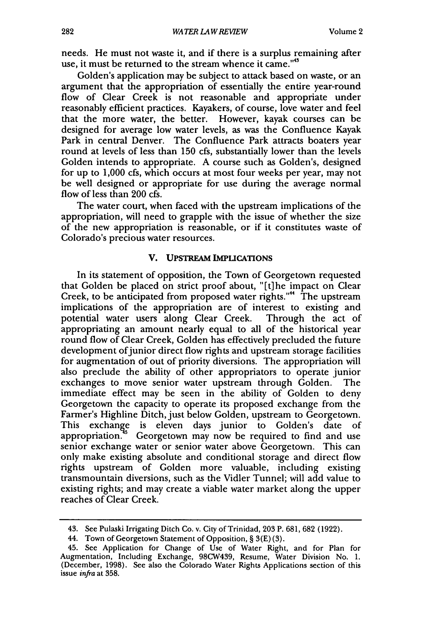needs. He must not waste it, and if there is a surplus remaining after use, it must be returned to the stream whence it came."<sup>43</sup>

Golden's application may be subject to attack based on waste, or an argument that the appropriation of essentially the entire year-round flow of Clear Creek is not reasonable and appropriate under reasonably efficient practices. Kayakers, of course, love water and feel that the more water, the better. However, kayak courses can be designed for average low water levels, as was the Confluence Kayak Park in central Denver. The Confluence Park attracts boaters year round at levels of less than 150 cfs, substantially lower than the levels Golden intends to appropriate. A course such as Golden's, designed for up to 1,000 cfs, which occurs at most four weeks per year, may not be well designed or appropriate for use during the average normal flow of less than 200 cfs.

The water court, when faced with the upstream implications of the appropriation, will need to grapple with the issue of whether the size of the new appropriation is reasonable, or if it constitutes waste of Colorado's precious water resources.

#### **V. UPSTREAM IMPLICATIONS**

In its statement of opposition, the Town of Georgetown requested that Golden be placed on strict proof about, "[t] he impact on Clear Creek, to be anticipated from proposed water rights."" The upstream implications of the appropriation are of interest to existing and potential water users along Clear Creek. Through the act of appropriating an amount nearly equal to all of the historical year round flow of Clear Creek, Golden has effectively precluded the future development of junior direct flow rights and upstream storage facilities for augmentation of out of priority diversions. The appropriation will also preclude the ability of other appropriators to operate junior exchanges to move senior water upstream through Golden. The immediate effect may be seen in the ability of Golden to deny Georgetown the capacity to operate its proposed exchange from the Farmer's Highline Ditch, just below Golden, upstream to Georgetown. This exchange is eleven days junior to Golden's date of appropriation.  $\frac{q_5}{q_5}$  Georgetown may now be required to find and use senior exchange water or senior water above Georgetown. This can only make existing absolute and conditional storage and direct flow rights upstream of Golden more valuable, including existing transmountain diversions, such as the Vidler Tunnel; will add value to existing rights; and may create a viable water market along the upper reaches of Clear Creek.

<sup>43.</sup> See Pulaski Irrigating Ditch Co. v. City of Trinidad, 203 P. 681, 682 (1922).

<sup>44.</sup> Town of Georgetown Statement of Opposition, § 3(E)(3).

<sup>45.</sup> See Application for Change of Use of Water Right, and for Plan for Augmentation, Including Exchange, 98CW439, Resume, Water Division No. 1. (December, 1998). See also the Colorado Water Rights Applications section of this issue *infra* at **358.**